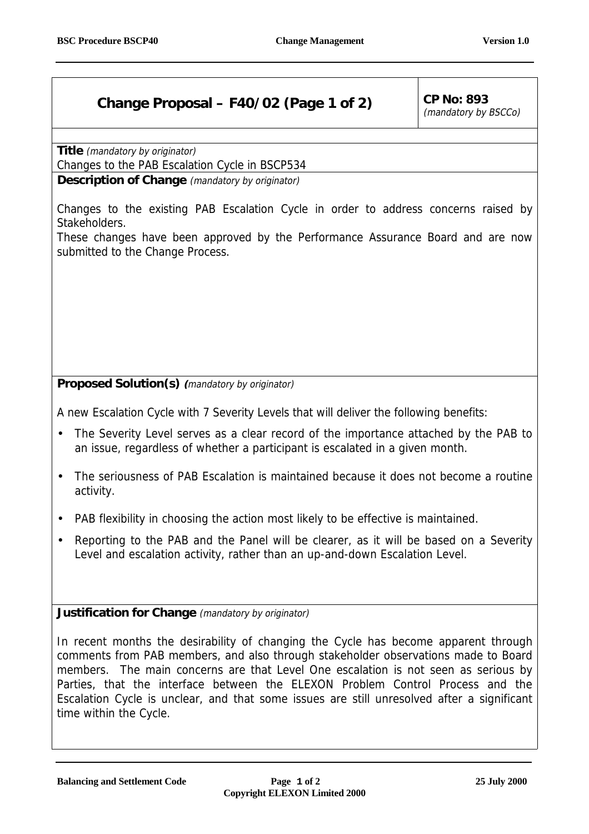## **Change Proposal – F40/02 (Page 1 of 2)**  $|$  CP No: 893

(mandatory by BSCCo)

**Title** (mandatory by originator)

Changes to the PAB Escalation Cycle in BSCP534

**Description of Change** (mandatory by originator)

Changes to the existing PAB Escalation Cycle in order to address concerns raised by Stakeholders.

These changes have been approved by the Performance Assurance Board and are now submitted to the Change Process.

**Proposed Solution(s) (**mandatory by originator)

A new Escalation Cycle with 7 Severity Levels that will deliver the following benefits:

- The Severity Level serves as a clear record of the importance attached by the PAB to an issue, regardless of whether a participant is escalated in a given month.
- The seriousness of PAB Escalation is maintained because it does not become a routine activity.
- PAB flexibility in choosing the action most likely to be effective is maintained.
- Reporting to the PAB and the Panel will be clearer, as it will be based on a Severity Level and escalation activity, rather than an up-and-down Escalation Level.

**Justification for Change** (mandatory by originator)

In recent months the desirability of changing the Cycle has become apparent through comments from PAB members, and also through stakeholder observations made to Board members. The main concerns are that Level One escalation is not seen as serious by Parties, that the interface between the ELEXON Problem Control Process and the Escalation Cycle is unclear, and that some issues are still unresolved after a significant time within the Cycle.